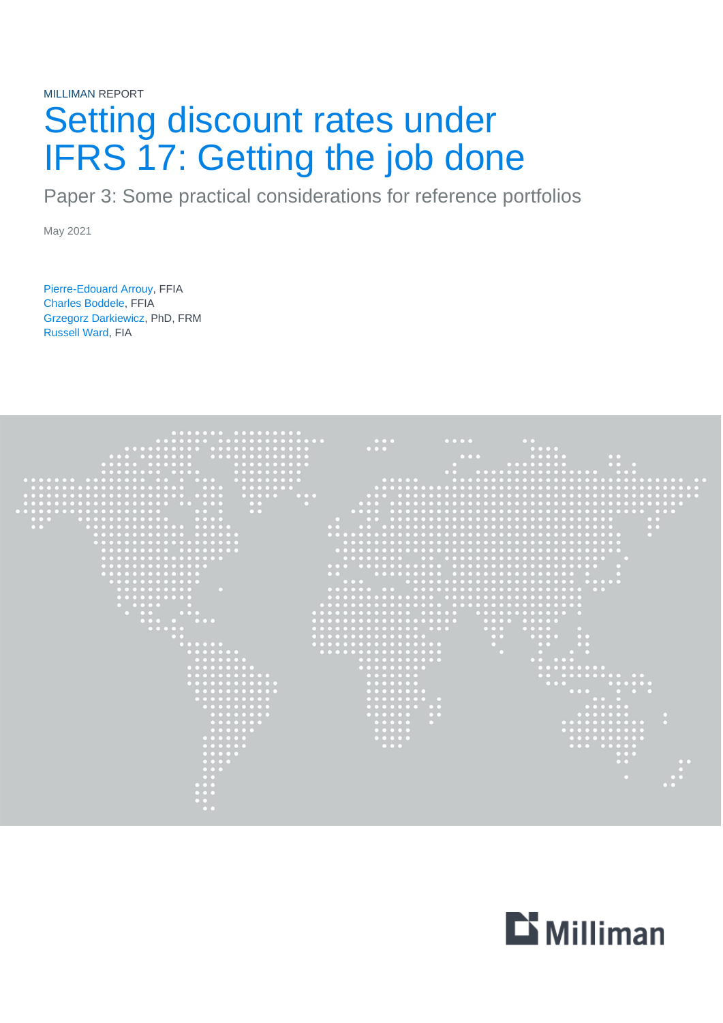# MILLIMAN REPORT Setting discount rates under IFRS 17: Getting the job done

Paper 3: Some practical considerations for reference portfolios

May 2021

Pierre-Edouard Arrouy, FFIA Charles Boddele, FFIA Grzegorz Darkiewicz, PhD, FRM Russell Ward, FIA



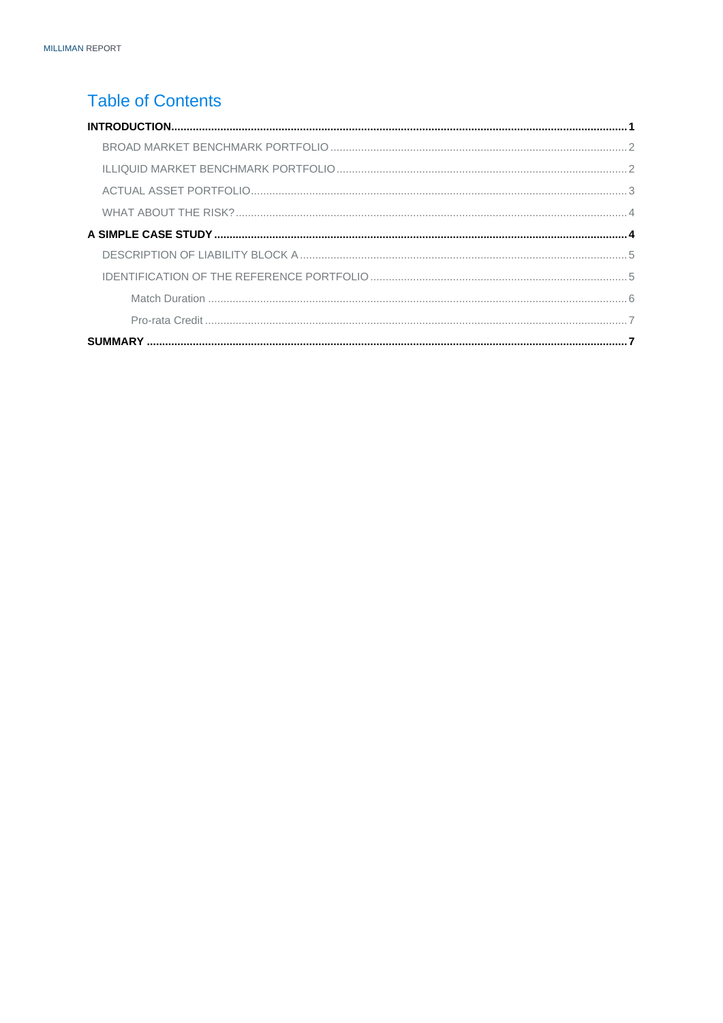# **Table of Contents**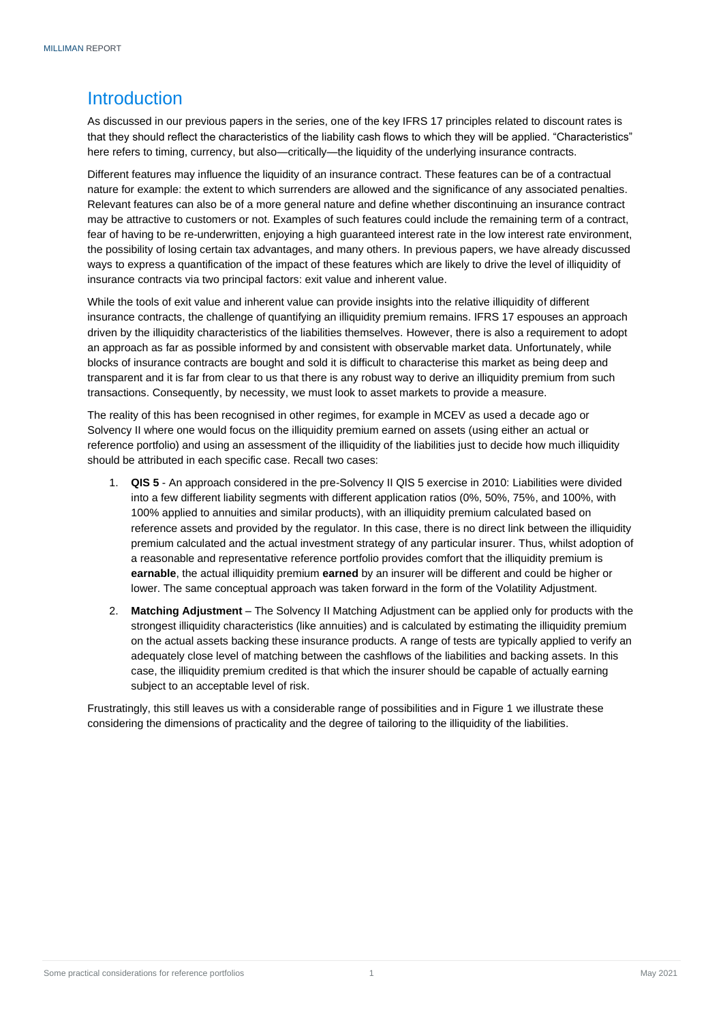# <span id="page-2-0"></span>**Introduction**

As discussed in our previous papers in the series, one of the key IFRS 17 principles related to discount rates is that they should reflect the characteristics of the liability cash flows to which they will be applied. "Characteristics" here refers to timing, currency, but also—critically—the liquidity of the underlying insurance contracts.

Different features may influence the liquidity of an insurance contract. These features can be of a contractual nature for example: the extent to which surrenders are allowed and the significance of any associated penalties. Relevant features can also be of a more general nature and define whether discontinuing an insurance contract may be attractive to customers or not. Examples of such features could include the remaining term of a contract, fear of having to be re-underwritten, enjoying a high guaranteed interest rate in the low interest rate environment, the possibility of losing certain tax advantages, and many others. In previous papers, we have already discussed ways to express a quantification of the impact of these features which are likely to drive the level of illiquidity of insurance contracts via two principal factors: exit value and inherent value.

While the tools of exit value and inherent value can provide insights into the relative illiquidity of different insurance contracts, the challenge of quantifying an illiquidity premium remains. IFRS 17 espouses an approach driven by the illiquidity characteristics of the liabilities themselves. However, there is also a requirement to adopt an approach as far as possible informed by and consistent with observable market data. Unfortunately, while blocks of insurance contracts are bought and sold it is difficult to characterise this market as being deep and transparent and it is far from clear to us that there is any robust way to derive an illiquidity premium from such transactions. Consequently, by necessity, we must look to asset markets to provide a measure.

The reality of this has been recognised in other regimes, for example in MCEV as used a decade ago or Solvency II where one would focus on the illiquidity premium earned on assets (using either an actual or reference portfolio) and using an assessment of the illiquidity of the liabilities just to decide how much illiquidity should be attributed in each specific case. Recall two cases:

- 1. **QIS 5** An approach considered in the pre-Solvency II QIS 5 exercise in 2010: Liabilities were divided into a few different liability segments with different application ratios (0%, 50%, 75%, and 100%, with 100% applied to annuities and similar products), with an illiquidity premium calculated based on reference assets and provided by the regulator. In this case, there is no direct link between the illiquidity premium calculated and the actual investment strategy of any particular insurer. Thus, whilst adoption of a reasonable and representative reference portfolio provides comfort that the illiquidity premium is **earnable**, the actual illiquidity premium **earned** by an insurer will be different and could be higher or lower. The same conceptual approach was taken forward in the form of the Volatility Adjustment.
- 2. **Matching Adjustment** The Solvency II Matching Adjustment can be applied only for products with the strongest illiquidity characteristics (like annuities) and is calculated by estimating the illiquidity premium on the actual assets backing these insurance products. A range of tests are typically applied to verify an adequately close level of matching between the cashflows of the liabilities and backing assets. In this case, the illiquidity premium credited is that which the insurer should be capable of actually earning subject to an acceptable level of risk.

Frustratingly, this still leaves us with a considerable range of possibilities and in Figure 1 we illustrate these considering the dimensions of practicality and the degree of tailoring to the illiquidity of the liabilities.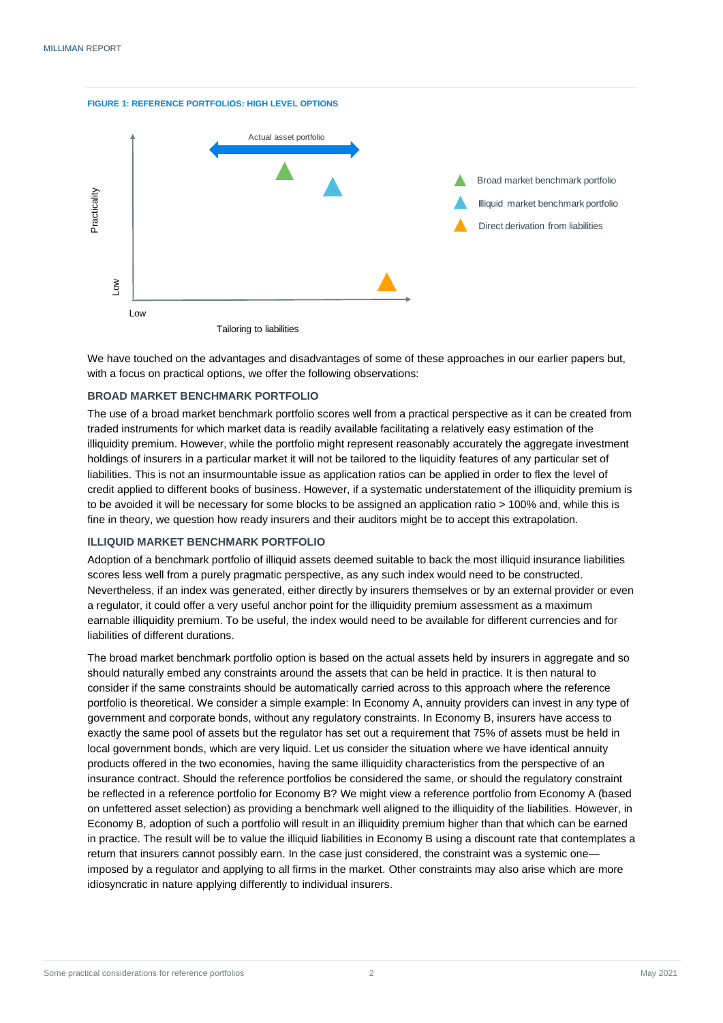



We have touched on the advantages and disadvantages of some of these approaches in our earlier papers but, with a focus on practical options, we offer the following observations:

#### <span id="page-3-0"></span>**BROAD MARKET BENCHMARK PORTFOLIO**

The use of a broad market benchmark portfolio scores well from a practical perspective as it can be created from traded instruments for which market data is readily available facilitating a relatively easy estimation of the illiquidity premium. However, while the portfolio might represent reasonably accurately the aggregate investment holdings of insurers in a particular market it will not be tailored to the liquidity features of any particular set of liabilities. This is not an insurmountable issue as application ratios can be applied in order to flex the level of credit applied to different books of business. However, if a systematic understatement of the illiquidity premium is to be avoided it will be necessary for some blocks to be assigned an application ratio > 100% and, while this is fine in theory, we question how ready insurers and their auditors might be to accept this extrapolation.

#### <span id="page-3-1"></span>**ILLIQUID MARKET BENCHMARK PORTFOLIO**

Adoption of a benchmark portfolio of illiquid assets deemed suitable to back the most illiquid insurance liabilities scores less well from a purely pragmatic perspective, as any such index would need to be constructed. Nevertheless, if an index was generated, either directly by insurers themselves or by an external provider or even a regulator, it could offer a very useful anchor point for the illiquidity premium assessment as a maximum earnable illiquidity premium. To be useful, the index would need to be available for different currencies and for liabilities of different durations.

The broad market benchmark portfolio option is based on the actual assets held by insurers in aggregate and so should naturally embed any constraints around the assets that can be held in practice. It is then natural to consider if the same constraints should be automatically carried across to this approach where the reference portfolio is theoretical. We consider a simple example: In Economy A, annuity providers can invest in any type of government and corporate bonds, without any regulatory constraints. In Economy B, insurers have access to exactly the same pool of assets but the regulator has set out a requirement that 75% of assets must be held in local government bonds, which are very liquid. Let us consider the situation where we have identical annuity products offered in the two economies, having the same illiquidity characteristics from the perspective of an insurance contract. Should the reference portfolios be considered the same, or should the regulatory constraint be reflected in a reference portfolio for Economy B? We might view a reference portfolio from Economy A (based on unfettered asset selection) as providing a benchmark well aligned to the illiquidity of the liabilities. However, in Economy B, adoption of such a portfolio will result in an illiquidity premium higher than that which can be earned in practice. The result will be to value the illiquid liabilities in Economy B using a discount rate that contemplates a return that insurers cannot possibly earn. In the case just considered, the constraint was a systemic one imposed by a regulator and applying to all firms in the market. Other constraints may also arise which are more idiosyncratic in nature applying differently to individual insurers.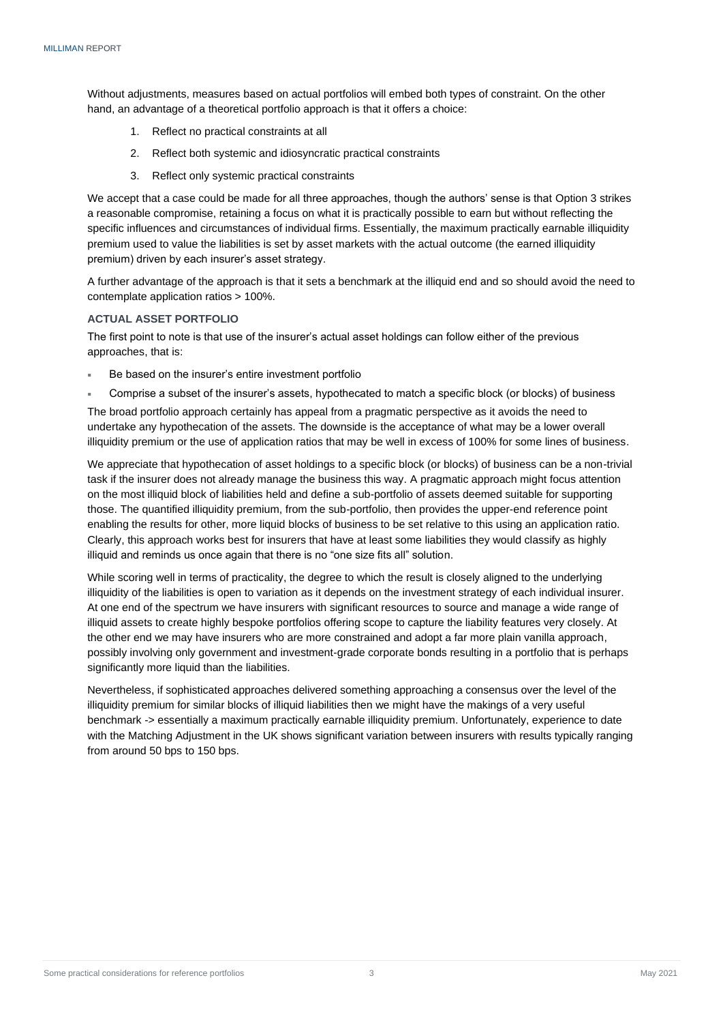Without adjustments, measures based on actual portfolios will embed both types of constraint. On the other hand, an advantage of a theoretical portfolio approach is that it offers a choice:

- 1. Reflect no practical constraints at all
- 2. Reflect both systemic and idiosyncratic practical constraints
- 3. Reflect only systemic practical constraints

We accept that a case could be made for all three approaches, though the authors' sense is that Option 3 strikes a reasonable compromise, retaining a focus on what it is practically possible to earn but without reflecting the specific influences and circumstances of individual firms. Essentially, the maximum practically earnable illiquidity premium used to value the liabilities is set by asset markets with the actual outcome (the earned illiquidity premium) driven by each insurer's asset strategy.

A further advantage of the approach is that it sets a benchmark at the illiquid end and so should avoid the need to contemplate application ratios > 100%.

#### <span id="page-4-0"></span>**ACTUAL ASSET PORTFOLIO**

The first point to note is that use of the insurer's actual asset holdings can follow either of the previous approaches, that is:

- Be based on the insurer's entire investment portfolio
- Comprise a subset of the insurer's assets, hypothecated to match a specific block (or blocks) of business

The broad portfolio approach certainly has appeal from a pragmatic perspective as it avoids the need to undertake any hypothecation of the assets. The downside is the acceptance of what may be a lower overall illiquidity premium or the use of application ratios that may be well in excess of 100% for some lines of business.

We appreciate that hypothecation of asset holdings to a specific block (or blocks) of business can be a non-trivial task if the insurer does not already manage the business this way. A pragmatic approach might focus attention on the most illiquid block of liabilities held and define a sub-portfolio of assets deemed suitable for supporting those. The quantified illiquidity premium, from the sub-portfolio, then provides the upper-end reference point enabling the results for other, more liquid blocks of business to be set relative to this using an application ratio. Clearly, this approach works best for insurers that have at least some liabilities they would classify as highly illiquid and reminds us once again that there is no "one size fits all" solution.

While scoring well in terms of practicality, the degree to which the result is closely aligned to the underlying illiquidity of the liabilities is open to variation as it depends on the investment strategy of each individual insurer. At one end of the spectrum we have insurers with significant resources to source and manage a wide range of illiquid assets to create highly bespoke portfolios offering scope to capture the liability features very closely. At the other end we may have insurers who are more constrained and adopt a far more plain vanilla approach, possibly involving only government and investment-grade corporate bonds resulting in a portfolio that is perhaps significantly more liquid than the liabilities.

<span id="page-4-1"></span>Nevertheless, if sophisticated approaches delivered something approaching a consensus over the level of the illiquidity premium for similar blocks of illiquid liabilities then we might have the makings of a very useful benchmark -> essentially a maximum practically earnable illiquidity premium. Unfortunately, experience to date with the Matching Adjustment in the UK shows significant variation between insurers with results typically ranging from around 50 bps to 150 bps.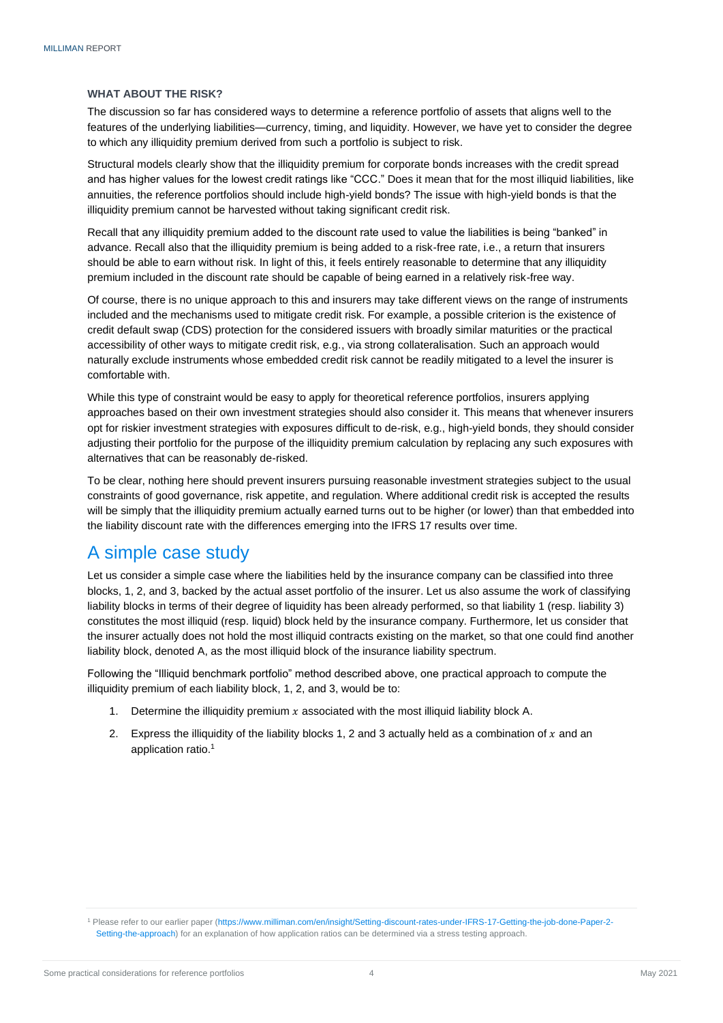#### **WHAT ABOUT THE RISK?**

The discussion so far has considered ways to determine a reference portfolio of assets that aligns well to the features of the underlying liabilities—currency, timing, and liquidity. However, we have yet to consider the degree to which any illiquidity premium derived from such a portfolio is subject to risk.

Structural models clearly show that the illiquidity premium for corporate bonds increases with the credit spread and has higher values for the lowest credit ratings like "CCC." Does it mean that for the most illiquid liabilities, like annuities, the reference portfolios should include high-yield bonds? The issue with high-yield bonds is that the illiquidity premium cannot be harvested without taking significant credit risk.

Recall that any illiquidity premium added to the discount rate used to value the liabilities is being "banked" in advance. Recall also that the illiquidity premium is being added to a risk-free rate, i.e., a return that insurers should be able to earn without risk. In light of this, it feels entirely reasonable to determine that any illiquidity premium included in the discount rate should be capable of being earned in a relatively risk-free way.

Of course, there is no unique approach to this and insurers may take different views on the range of instruments included and the mechanisms used to mitigate credit risk. For example, a possible criterion is the existence of credit default swap (CDS) protection for the considered issuers with broadly similar maturities or the practical accessibility of other ways to mitigate credit risk, e.g., via strong collateralisation. Such an approach would naturally exclude instruments whose embedded credit risk cannot be readily mitigated to a level the insurer is comfortable with.

While this type of constraint would be easy to apply for theoretical reference portfolios, insurers applying approaches based on their own investment strategies should also consider it. This means that whenever insurers opt for riskier investment strategies with exposures difficult to de-risk, e.g., high-yield bonds, they should consider adjusting their portfolio for the purpose of the illiquidity premium calculation by replacing any such exposures with alternatives that can be reasonably de-risked.

To be clear, nothing here should prevent insurers pursuing reasonable investment strategies subject to the usual constraints of good governance, risk appetite, and regulation. Where additional credit risk is accepted the results will be simply that the illiquidity premium actually earned turns out to be higher (or lower) than that embedded into the liability discount rate with the differences emerging into the IFRS 17 results over time.

## <span id="page-5-0"></span>A simple case study

Let us consider a simple case where the liabilities held by the insurance company can be classified into three blocks, 1, 2, and 3, backed by the actual asset portfolio of the insurer. Let us also assume the work of classifying liability blocks in terms of their degree of liquidity has been already performed, so that liability 1 (resp. liability 3) constitutes the most illiquid (resp. liquid) block held by the insurance company. Furthermore, let us consider that the insurer actually does not hold the most illiquid contracts existing on the market, so that one could find another liability block, denoted A, as the most illiquid block of the insurance liability spectrum.

Following the "Illiquid benchmark portfolio" method described above, one practical approach to compute the illiquidity premium of each liability block, 1, 2, and 3, would be to:

- 1. Determine the illiquidity premium  $x$  associated with the most illiquid liability block A.
- 2. Express the illiquidity of the liability blocks 1, 2 and 3 actually held as a combination of  $x$  and an application ratio. 1

<sup>1</sup> Please refer to our earlier paper [\(https://www.milliman.com/en/insight/Setting-discount-rates-under-IFRS-17-Getting-the-job-done-Paper-2-](https://www.milliman.com/en/insight/Setting-discount-rates-under-IFRS-17-Getting-the-job-done-Paper-2-Setting-the-approach) [Setting-the-approach\)](https://www.milliman.com/en/insight/Setting-discount-rates-under-IFRS-17-Getting-the-job-done-Paper-2-Setting-the-approach) for an explanation of how application ratios can be determined via a stress testing approach.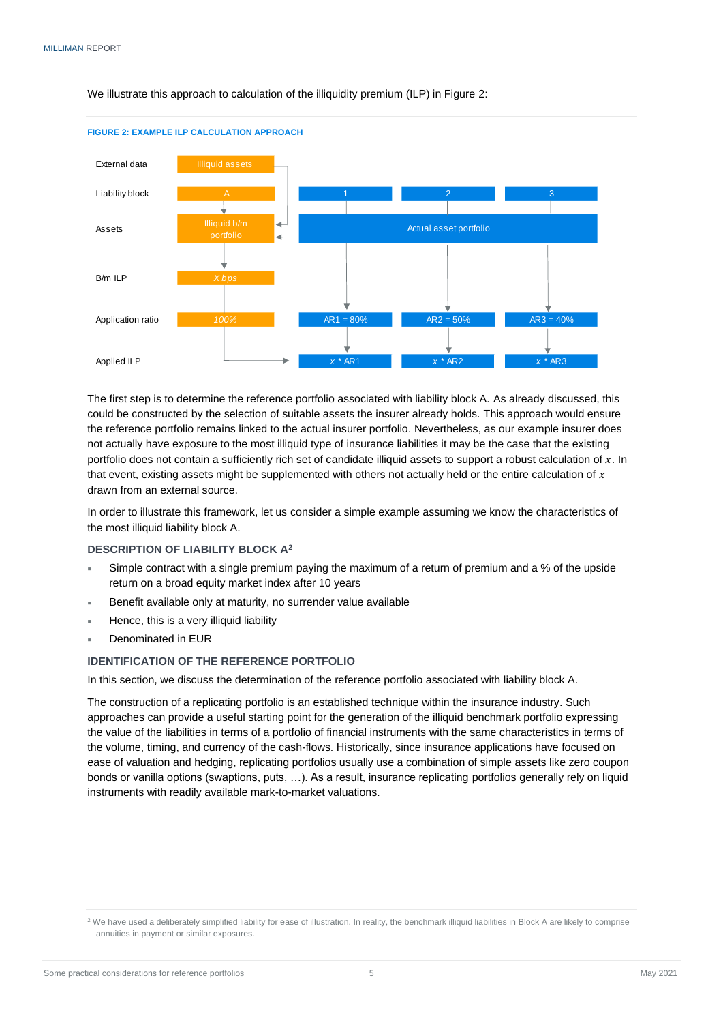We illustrate this approach to calculation of the illiquidity premium (ILP) in Figure 2:



#### **FIGURE 2: EXAMPLE ILP CALCULATION APPROACH**

The first step is to determine the reference portfolio associated with liability block A. As already discussed, this could be constructed by the selection of suitable assets the insurer already holds. This approach would ensure the reference portfolio remains linked to the actual insurer portfolio. Nevertheless, as our example insurer does not actually have exposure to the most illiquid type of insurance liabilities it may be the case that the existing portfolio does not contain a sufficiently rich set of candidate illiquid assets to support a robust calculation of  $x$ . In that event, existing assets might be supplemented with others not actually held or the entire calculation of  $x$ drawn from an external source.

In order to illustrate this framework, let us consider a simple example assuming we know the characteristics of the most illiquid liability block A.

#### <span id="page-6-0"></span>**DESCRIPTION OF LIABILITY BLOCK A<sup>2</sup>**

- Simple contract with a single premium paying the maximum of a return of premium and a % of the upside return on a broad equity market index after 10 years
- Benefit available only at maturity, no surrender value available
- Hence, this is a very illiquid liability
- Denominated in EUR

#### <span id="page-6-1"></span>**IDENTIFICATION OF THE REFERENCE PORTFOLIO**

In this section, we discuss the determination of the reference portfolio associated with liability block A.

The construction of a replicating portfolio is an established technique within the insurance industry. Such approaches can provide a useful starting point for the generation of the illiquid benchmark portfolio expressing the value of the liabilities in terms of a portfolio of financial instruments with the same characteristics in terms of the volume, timing, and currency of the cash-flows. Historically, since insurance applications have focused on ease of valuation and hedging, replicating portfolios usually use a combination of simple assets like zero coupon bonds or vanilla options (swaptions, puts, …). As a result, insurance replicating portfolios generally rely on liquid instruments with readily available mark-to-market valuations.

<sup>&</sup>lt;sup>2</sup> We have used a deliberately simplified liability for ease of illustration. In reality, the benchmark illiquid liabilities in Block A are likely to comprise annuities in payment or similar exposures.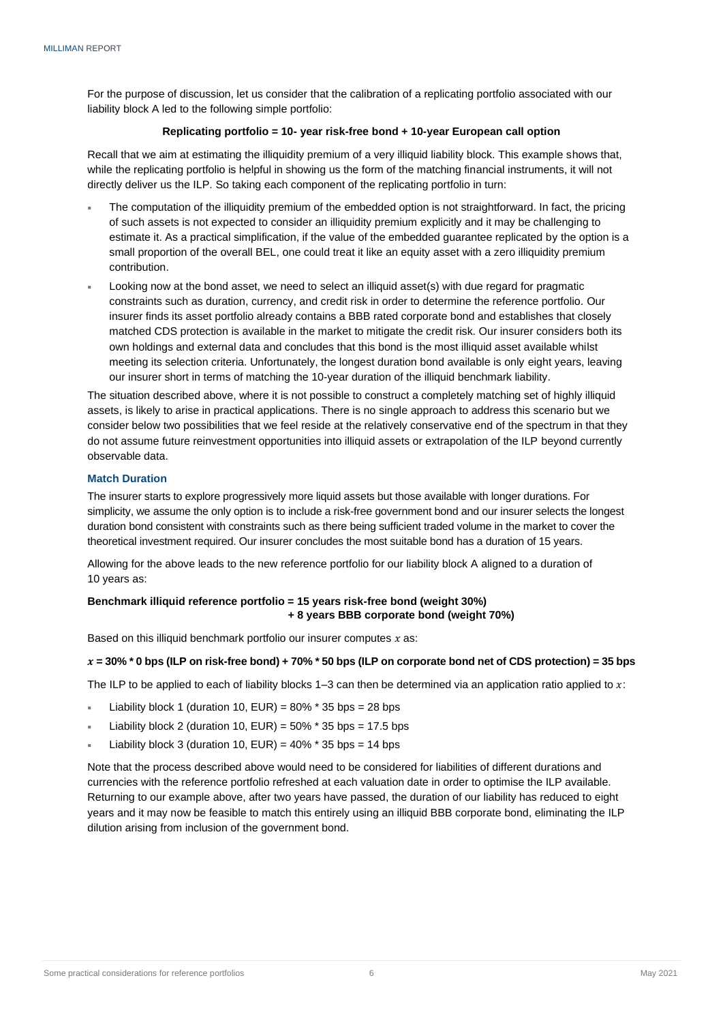For the purpose of discussion, let us consider that the calibration of a replicating portfolio associated with our liability block A led to the following simple portfolio:

#### **Replicating portfolio = 10- year risk-free bond + 10-year European call option**

Recall that we aim at estimating the illiquidity premium of a very illiquid liability block. This example shows that, while the replicating portfolio is helpful in showing us the form of the matching financial instruments, it will not directly deliver us the ILP. So taking each component of the replicating portfolio in turn:

- The computation of the illiquidity premium of the embedded option is not straightforward. In fact, the pricing of such assets is not expected to consider an illiquidity premium explicitly and it may be challenging to estimate it. As a practical simplification, if the value of the embedded guarantee replicated by the option is a small proportion of the overall BEL, one could treat it like an equity asset with a zero illiquidity premium contribution.
- Looking now at the bond asset, we need to select an illiquid asset(s) with due regard for pragmatic constraints such as duration, currency, and credit risk in order to determine the reference portfolio. Our insurer finds its asset portfolio already contains a BBB rated corporate bond and establishes that closely matched CDS protection is available in the market to mitigate the credit risk. Our insurer considers both its own holdings and external data and concludes that this bond is the most illiquid asset available whilst meeting its selection criteria. Unfortunately, the longest duration bond available is only eight years, leaving our insurer short in terms of matching the 10-year duration of the illiquid benchmark liability.

The situation described above, where it is not possible to construct a completely matching set of highly illiquid assets, is likely to arise in practical applications. There is no single approach to address this scenario but we consider below two possibilities that we feel reside at the relatively conservative end of the spectrum in that they do not assume future reinvestment opportunities into illiquid assets or extrapolation of the ILP beyond currently observable data.

#### <span id="page-7-0"></span>**Match Duration**

The insurer starts to explore progressively more liquid assets but those available with longer durations. For simplicity, we assume the only option is to include a risk-free government bond and our insurer selects the longest duration bond consistent with constraints such as there being sufficient traded volume in the market to cover the theoretical investment required. Our insurer concludes the most suitable bond has a duration of 15 years.

Allowing for the above leads to the new reference portfolio for our liability block A aligned to a duration of 10 years as:

#### **Benchmark illiquid reference portfolio = 15 years risk-free bond (weight 30%) + 8 years BBB corporate bond (weight 70%)**

Based on this illiquid benchmark portfolio our insurer computes  $x$  as:

#### **= 30% \* 0 bps (ILP on risk-free bond) + 70% \* 50 bps (ILP on corporate bond net of CDS protection) = 35 bps**

The ILP to be applied to each of liability blocks  $1-3$  can then be determined via an application ratio applied to  $x$ :

- Liability block 1 (duration 10,  $EUR$ ) = 80%  $*$  35 bps = 28 bps
- Liability block 2 (duration 10,  $EUR$ ) = 50%  $*$  35 bps = 17.5 bps
- Liability block 3 (duration 10,  $EUR$ ) = 40%  $*$  35 bps = 14 bps

<span id="page-7-1"></span>Note that the process described above would need to be considered for liabilities of different durations and currencies with the reference portfolio refreshed at each valuation date in order to optimise the ILP available. Returning to our example above, after two years have passed, the duration of our liability has reduced to eight years and it may now be feasible to match this entirely using an illiquid BBB corporate bond, eliminating the ILP dilution arising from inclusion of the government bond.